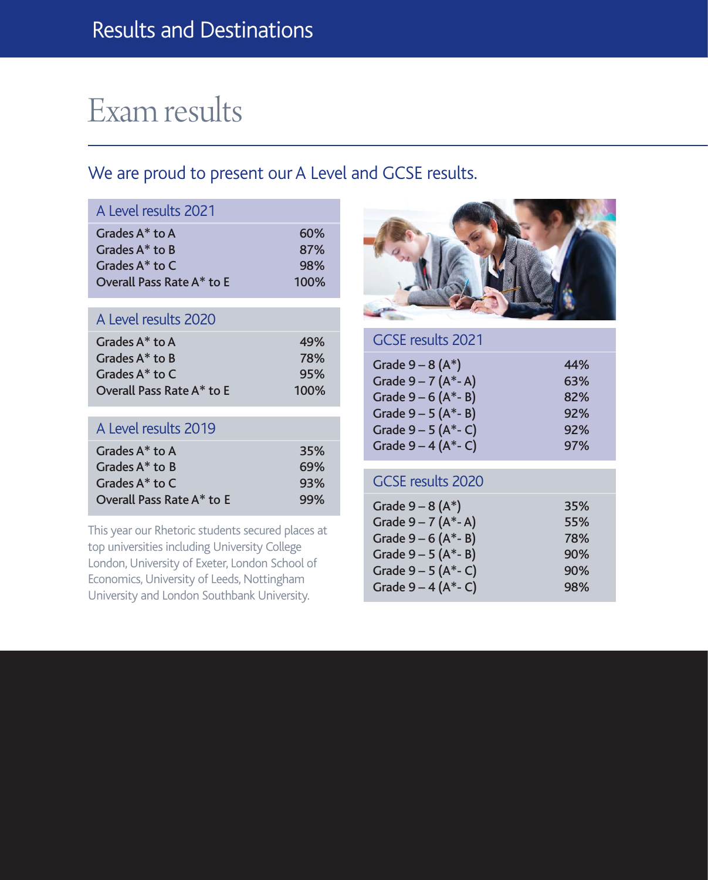# Exam results

## We are proud to present our A Level and GCSE results.

| A Level results 2021      |      |
|---------------------------|------|
| Grades $A^*$ to $A$       | 60%  |
| Grades $A^*$ to B         | 87%  |
| Grades $A^*$ to $C$       | 98%  |
| Overall Pass Rate A* to E | 100% |
| A Level results 2020      |      |
| Grades $A^*$ to A         | 49%  |
| Grades A* to B            | 78%  |
| Grades A* to C            | 95%  |
| Overall Pass Rate A* to E | 100% |
| A Level results 2019      |      |
| Grades $A^*$ to $A$       | 35%  |
| Grades $A^*$ to B         | 69%  |
| Grades $A^*$ to C         | 93%  |
| Overall Pass Rate A* to E | 99%  |

This year our Rhetoric students secured places at top universities including University College London, University of Exeter, London School of Economics, University of Leeds, Nottingham University and London Southbank University.



## GCSE results 2021

| Grade $9 - 8(A^*)$      | 44% |
|-------------------------|-----|
| Grade $9 - 7$ (A*-A)    | 63% |
| Grade $9 - 6$ (A*-B)    | 82% |
| Grade $9 - 5(A^* - B)$  | 92% |
| Grade $9 - 5$ (A*- C)   | 92% |
| Grade $9 - 4 (A^* - C)$ | 97% |

### GCSE results 2020

| Grade $9 - 8(A^*)$      | 35% |
|-------------------------|-----|
| Grade $9 - 7$ (A*-A)    | 55% |
| Grade $9 - 6$ (A*-B)    | 78% |
| Grade $9 - 5 (A^* - B)$ | 90% |
| Grade $9 - 5$ (A*- C)   | 90% |
| Grade $9 - 4 (A^* - C)$ | 98% |